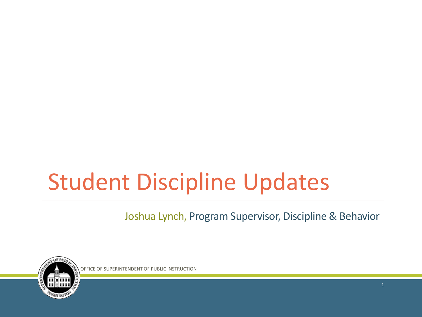### Student Discipline Updates

Joshua Lynch, Program Supervisor, Discipline & Behavior



OFFICE OF SUPERINTENDENT OF PUBLIC INSTRUCTION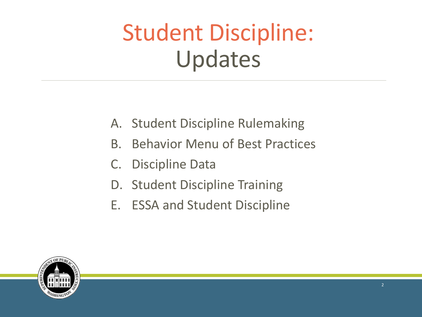### Student Discipline: Updates

- A. Student Discipline Rulemaking
- B. Behavior Menu of Best Practices
- C. Discipline Data
- D. Student Discipline Training
- E. ESSA and Student Discipline

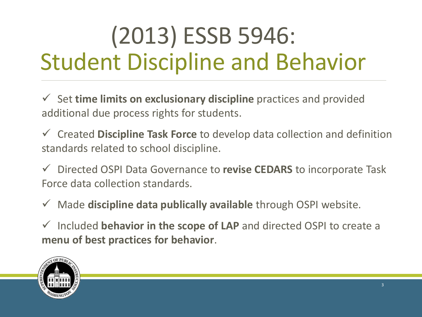# (2013) ESSB 5946: Student Discipline and Behavior

 Set **time limits on exclusionary discipline** practices and provided additional due process rights for students.

 Created **Discipline Task Force** to develop data collection and definition standards related to school discipline.

 Directed OSPI Data Governance to **revise CEDARS** to incorporate Task Force data collection standards.

Made **discipline data publically available** through OSPI website.

 Included **behavior in the scope of LAP** and directed OSPI to create a **menu of best practices for behavior**.

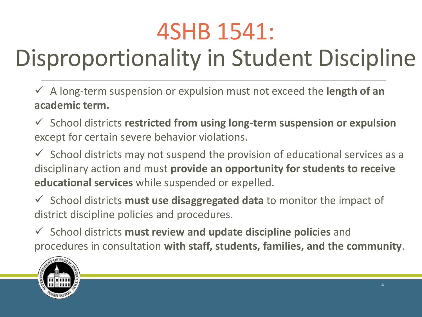# 4SHB 1541:

# Disproportionality in Student Discipline

- A long-term suspension or expulsion must not exceed the **length of an academic term.**
- School districts **restricted from using long-term suspension or expulsion** except for certain severe behavior violations.
- $\checkmark$  School districts may not suspend the provision of educational services as a disciplinary action and must **provide an opportunity for students to receive educational services** while suspended or expelled.
- School districts **must use disaggregated data** to monitor the impact of district discipline policies and procedures.
- School districts **must review and update discipline policies** and procedures in consultation **with staff, students, families, and the community**.

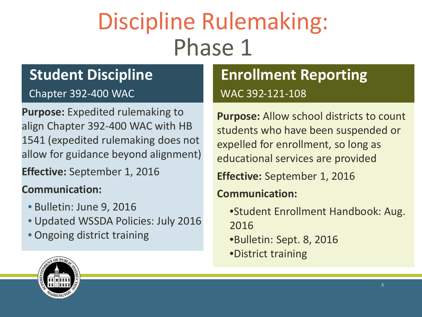## Discipline Rulemaking: Phase 1

#### **Student Discipline**

Chapter 392-400 WAC

**Purpose:** Expedited rulemaking to align Chapter 392-400 WAC with HB 1541 (expedited rulemaking does not allow for guidance beyond alignment)

**Effective:** September 1, 2016

#### **Communication:**

- Bulletin: June 9, 2016
- Updated WSSDA Policies: July 2016
- Ongoing district training

#### **Enrollment Reporting** WAC 392-121-108

**Purpose:** Allow school districts to count students who have been suspended or expelled for enrollment, so long as educational services are provided

**Effective:** September 1, 2016

**Communication:**

•Student Enrollment Handbook: Aug. 2016 •Bulletin: Sept. 8, 2016 •District training

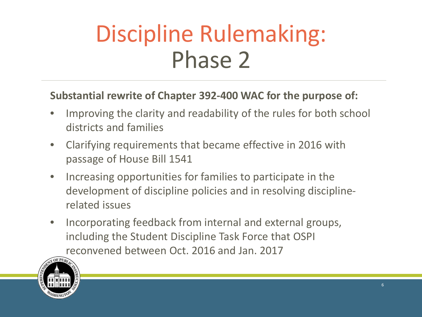### Discipline Rulemaking: Phase 2

#### **Substantial rewrite of Chapter 392-400 WAC for the purpose of:**

- Improving the clarity and readability of the rules for both school districts and families
- Clarifying requirements that became effective in 2016 with passage of House Bill 1541
- Increasing opportunities for families to participate in the development of discipline policies and in resolving disciplinerelated issues
- Incorporating feedback from internal and external groups, including the Student Discipline Task Force that OSPI reconvened between Oct. 2016 and Jan. 2017

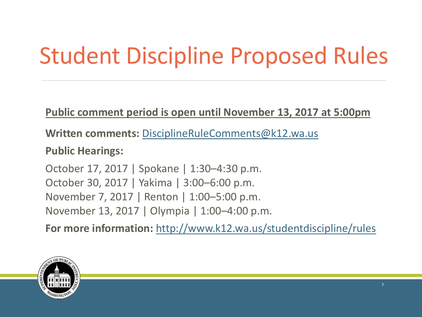# Student Discipline Proposed Rules

**Public comment period is open until November 13, 2017 at 5:00pm**

**Written comments:** [DisciplineRuleComments@k12.wa.us](mailto:DisciplineRuleComments@k12.wa.us)

**Public Hearings:**

October 17, 2017 | Spokane | 1:30–4:30 p.m. October 30, 2017 | Yakima | 3:00–6:00 p.m. November 7, 2017 | Renton | 1:00–5:00 p.m. November 13, 2017 | Olympia | 1:00–4:00 p.m.

**For more information:** <http://www.k12.wa.us/studentdiscipline/rules>

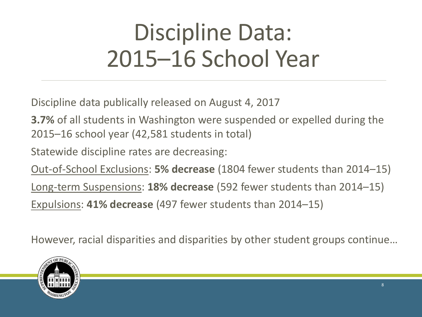# Discipline Data: 2015–16 School Year

Discipline data publically released on August 4, 2017

**3.7%** of all students in Washington were suspended or expelled during the 2015–16 school year (42,581 students in total)

Statewide discipline rates are decreasing:

Out-of-School Exclusions: **5% decrease** (1804 fewer students than 2014–15) Long-term Suspensions: **18% decrease** (592 fewer students than 2014–15) Expulsions: **41% decrease** (497 fewer students than 2014–15)

However, racial disparities and disparities by other student groups continue…

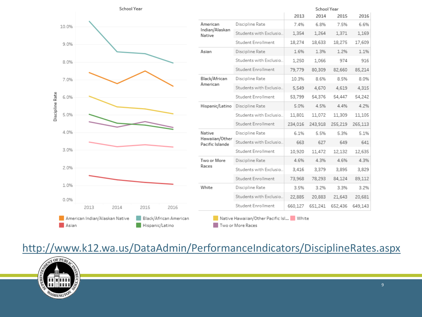|       |      | School Year |      |          |                                   |                         | School Year |         |         |         |  |
|-------|------|-------------|------|----------|-----------------------------------|-------------------------|-------------|---------|---------|---------|--|
|       |      |             |      |          |                                   |                         | 2013        | 2014    | 2015    | 2016    |  |
| 10.0% |      |             |      | American | Discipline Rate                   | 7.4%                    | 6.8%        | 7.5%    | 6.6%    |         |  |
|       |      |             |      |          | Indian/Alaskan<br>Native          | Students with Exclusio  | 1,354       | 1,264   | 1,371   | 1,169   |  |
| 9.0%  |      |             |      |          |                                   | Student Enrollment      | 18,274      | 18,633  | 18,275  | 17,609  |  |
|       |      |             |      |          | Asian                             | Discipline Rate         | 1.6%        | 1.3%    | 1.2%    | 1.1%    |  |
| 8.0%  |      |             |      |          |                                   | Students with Exclusio. | 1,250       | 1,066   | 974     | 916     |  |
|       |      |             |      |          |                                   | Student Enrollment      | 79,779      | 80,309  | 82,660  | 85,214  |  |
| 7.0%  |      |             |      |          | Black/African                     | Discipline Rate         | 10.3%       | 8.6%    | 8.5%    | 8.0%    |  |
|       |      |             |      |          | American                          | Students with Exclusio  | 5,549       | 4,670   | 4,619   | 4,315   |  |
| 6.0%  |      |             |      |          |                                   | Student Enrollment      | 53,799      | 54,376  | 54,447  | 54,242  |  |
|       |      |             |      |          | Hispanic/Latino                   | Discipline Rate         | 5.0%        | 4.5%    | 4.4%    | 4.2%    |  |
| 5.0%  |      |             |      |          |                                   | Students with Exclusio. | 11,801      | 11,072  | 11,309  | 11,105  |  |
|       |      |             |      |          |                                   | Student Enrollment      | 234,016     | 243,918 | 255,219 | 265,113 |  |
| 4.0%  |      |             |      |          | Native                            | Discipline Rate         | 6.1%        | 5.5%    | 5.3%    | 5.1%    |  |
| 3.0%  |      |             |      |          | Hawaiian/Other<br>Pacific Islande | Students with Exclusio  | 663         | 627     | 649     | 641     |  |
|       |      |             |      |          |                                   | Student Enrollment      | 10,920      | 11,472  | 12,132  | 12,635  |  |
|       |      |             |      |          | Two or More<br>Races              | Discipline Rate         | 4.6%        | 4.3%    | 4.6%    | 4.3%    |  |
| 2.0%  |      |             |      |          |                                   | Students with Exclusio  | 3,416       | 3,379   | 3,895   | 3,829   |  |
|       |      |             |      |          |                                   | Student Enrollment      | 73,968      | 78,293  | 84,124  | 89,112  |  |
| 1.0%  |      |             |      |          | White                             | Discipline Rate         | 3.5%        | 3.2%    | 3.3%    | 3.2%    |  |
| 0.0%  |      |             |      |          |                                   | Students with Exclusio  | 22,885      | 20,883  | 21,643  | 20,681  |  |
|       | 2013 | 2014        | 2015 | 2016     |                                   | Student Enrollment      | 660,127     | 651,241 | 652,436 | 649,143 |  |

#### <http://www.k12.wa.us/DataAdmin/PerformanceIndicators/DisciplineRates.aspx>

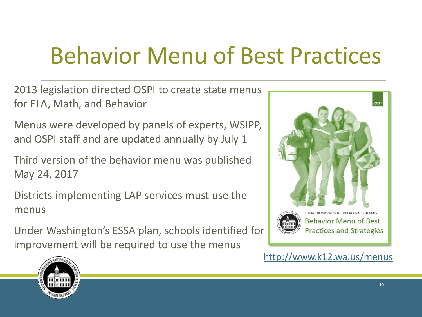### Behavior Menu of Best Practices

2013 legislation directed OSPI to create state menus for ELA, Math, and Behavior

Menus were developed by panels of experts, WSIPP, and OSPI staff and are updated annually by July 1

Third version of the behavior menu was published May 24, 2017

Districts implementing LAP services must use the menus

Under Washington's ESSA plan, schools identified for improvement will be required to use the menus





<http://www.k12.wa.us/menus>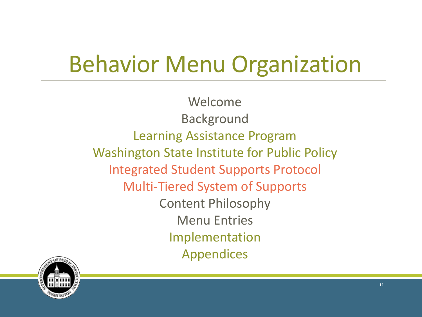### Behavior Menu Organization

Welcome Background Learning Assistance Program Washington State Institute for Public Policy Integrated Student Supports Protocol Multi-Tiered System of Supports Content Philosophy Menu Entries Implementation Appendices

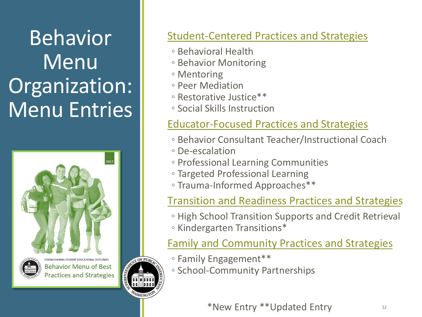#### Behavior Menu Organization: Menu Entries





**Behavior Menu of Best Practices and Strategies** 

#### Student-Centered Practices and Strategies

- Behavioral Health
- Behavior Monitoring
- Mentoring
- Peer Mediation
- Restorative Justice\*\*
- Social Skills Instruction

#### Educator-Focused Practices and Strategies

- Behavior Consultant Teacher/Instructional Coach
- De-escalation
- Professional Learning Communities
- Targeted Professional Learning
- Trauma-Informed Approaches\*\*

#### Transition and Readiness Practices and Strategies

- High School Transition Supports and Credit Retrieval
- Kindergarten Transitions\*

#### Family and Community Practices and Strategies

- Family Engagement\*\*
- School-Community Partnerships

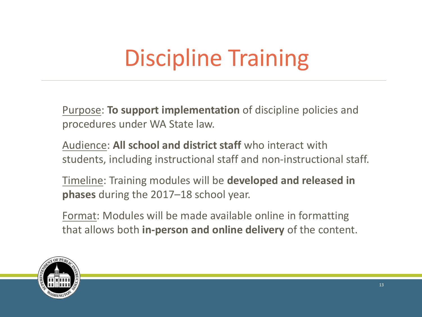# Discipline Training

Purpose: **To support implementation** of discipline policies and procedures under WA State law.

Audience: **All school and district staff** who interact with students, including instructional staff and non-instructional staff.

Timeline: Training modules will be **developed and released in phases** during the 2017–18 school year.

Format: Modules will be made available online in formatting that allows both **in-person and online delivery** of the content.

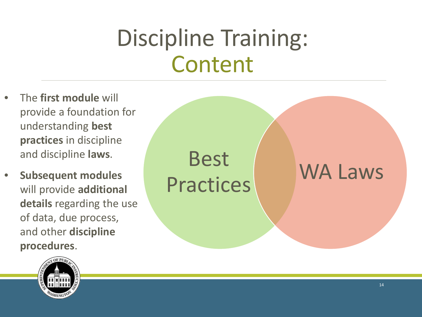## Discipline Training: Content

- The **first module** will provide a foundation for understanding **best practices** in discipline and discipline **laws**.
- **Subsequent modules**  will provide **additional details** regarding the use of data, due process, and other **discipline procedures**.



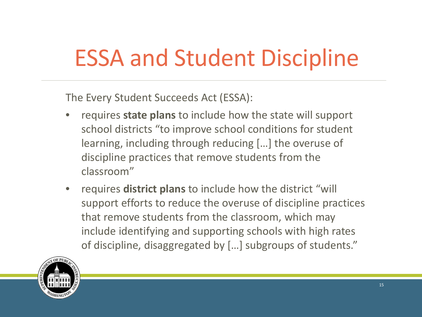## ESSA and Student Discipline

The Every Student Succeeds Act (ESSA):

- requires **state plans** to include how the state will support school districts "to improve school conditions for student learning, including through reducing […] the overuse of discipline practices that remove students from the classroom"
- requires **district plans** to include how the district "will support efforts to reduce the overuse of discipline practices that remove students from the classroom, which may include identifying and supporting schools with high rates of discipline, disaggregated by […] subgroups of students."

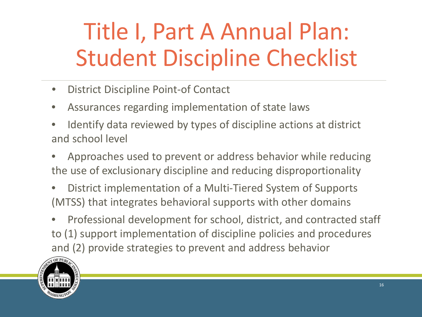# Title I, Part A Annual Plan: Student Discipline Checklist

- District Discipline Point-of Contact
- Assurances regarding implementation of state laws
- Identify data reviewed by types of discipline actions at district and school level
- Approaches used to prevent or address behavior while reducing the use of exclusionary discipline and reducing disproportionality
- District implementation of a Multi-Tiered System of Supports (MTSS) that integrates behavioral supports with other domains
- Professional development for school, district, and contracted staff to (1) support implementation of discipline policies and procedures and (2) provide strategies to prevent and address behavior